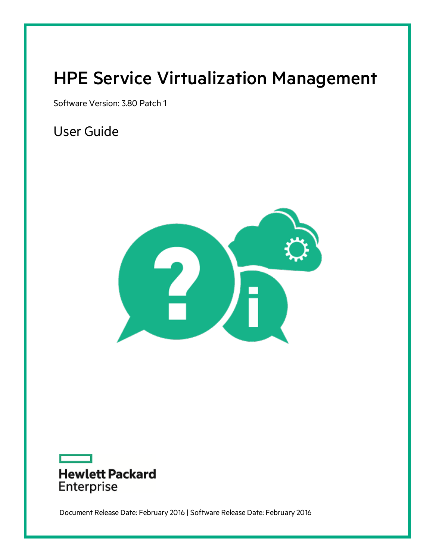# <span id="page-0-0"></span>HPE Service Virtualization Management

Software Version: 3.80 Patch 1

User Guide





Document Release Date: February 2016 | Software Release Date: February 2016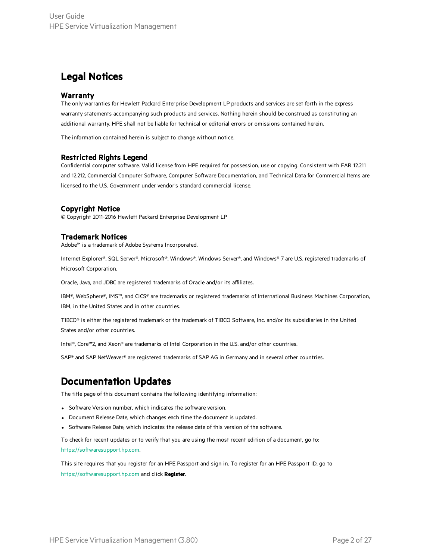### Legal Notices

#### Warranty

The only warranties for Hewlett Packard Enterprise Development LP products and services are set forth in the express warranty statements accompanying such products and services. Nothing herein should be construed as constituting an additional warranty. HPE shall not be liable for technical or editorial errors or omissions contained herein.

The information contained herein is subject to change without notice.

### Restricted Rights Legend

Confidential computer software. Valid license from HPE required for possession, use or copying. Consistent with FAR 12.211 and 12.212, Commercial Computer Software, Computer Software Documentation, and Technical Data for Commercial Items are licensed to the U.S. Government under vendor's standard commercial license.

### Copyright Notice

© Copyright 2011-2016 Hewlett Packard Enterprise Development LP

### Trademark Notices

Adobe™ is a trademark of Adobe Systems Incorporated.

Internet Explorer®, SQL Server®, Microsoft®, Windows®, Windows Server®, and Windows® 7 are U.S. registered trademarks of Microsoft Corporation.

Oracle, Java, and JDBC are registered trademarks of Oracle and/or its affiliates.

IBM®, WebSphere®, IMS™, and CICS® are trademarks or registered trademarks of International Business Machines Corporation, IBM, in the United States and in other countries.

TIBCO® is either the registered trademark or the trademark of TIBCO Software, Inc. and/or its subsidiaries in the United States and/or other countries.

Intel®, Core™2, and Xeon® are trademarks of Intel Corporation in the U.S. and/or other countries.

SAP® and SAP NetWeaver® are registered trademarks of SAP AG in Germany and in several other countries.

### Documentation Updates

The title page of this document contains the following identifying information:

- Software Version number, which indicates the software version.
- Document Release Date, which changes each time the document is updated.
- Software Release Date, which indicates the release date of this version of the software.

To check for recent updates or to verify that you are using the most recent edition of a document, go to: [https://softwaresupport.hp.com](https://softwaresupport.hp.com/).

This site requires that you register for an HPE Passport and sign in. To register for an HPE Passport ID, go to [https://softwaresupport.hp.com](https://softwaresupport.hp.com/) and click **Register**.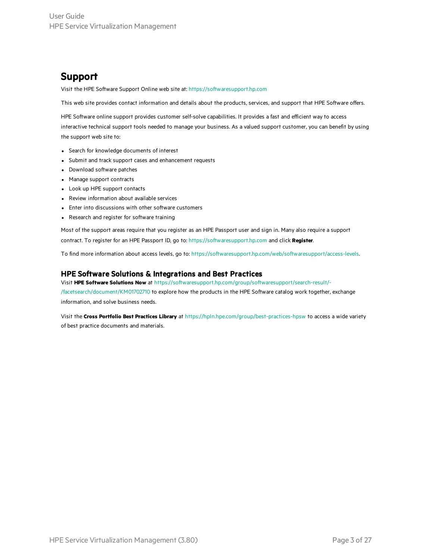### Support

Visit the HPE Software Support Online web site at: [https://softwaresupport.hp.com](https://softwaresupport.hp.com/)

This web site provides contact information and details about the products, services, and support that HPE Software offers.

HPE Software online support provides customer self-solve capabilities. It provides a fast and efficient way to access interactive technical support tools needed to manage your business. As a valued support customer, you can benefit by using the support web site to:

- Search for knowledge documents of interest
- Submit and track support cases and enhancement requests
- Download software patches
- Manage support contracts
- Look up HPE support contacts
- Review information about available services
- Enter into discussions with other software customers
- Research and register for software training

Most of the support areas require that you register as an HPE Passport user and sign in. Many also require a support contract. To register for an HPE Passport ID, go to: [https://softwaresupport.hp.com](https://softwaresupport.hp.com/) and click **Register**.

To find more information about access levels, go to: [https://softwaresupport.hp.com/web/softwaresupport/access-levels.](https://softwaresupport.hp.com/web/softwaresupport/access-levels)

#### HPE Software Solutions & Integrations and Best Practices

Visit **HPE Software Solutions Now** at [https://softwaresupport.hp.com/group/softwaresupport/search-result/-](https://softwaresupport.hp.com/group/softwaresupport/search-result/-/facetsearch/document/KM01702710) [/facetsearch/document/KM01702710](https://softwaresupport.hp.com/group/softwaresupport/search-result/-/facetsearch/document/KM01702710) to explore how the products in the HPE Software catalog work together, exchange information, and solve business needs.

Visit the **Cross Portfolio Best Practices Library** at <https://hpln.hpe.com/group/best-practices-hpsw> to access a wide variety of best practice documents and materials.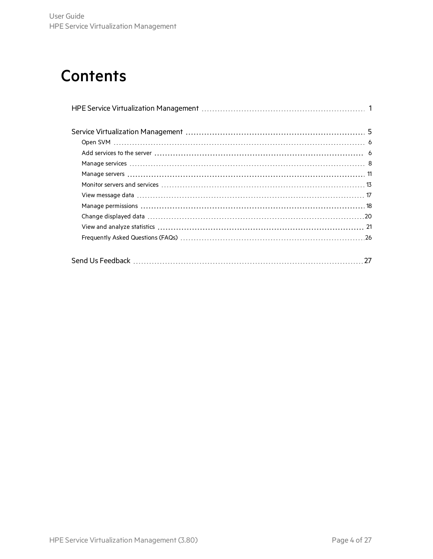# **Contents**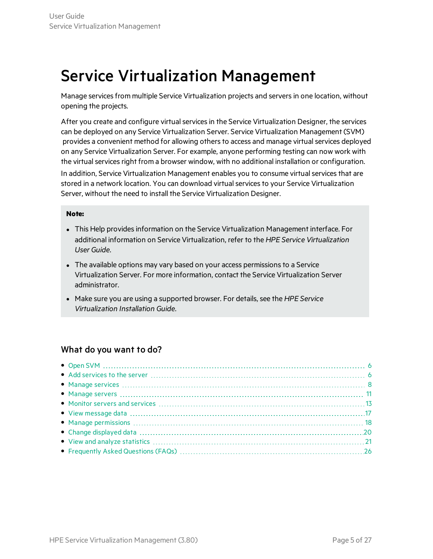# <span id="page-4-0"></span>Service Virtualization Management

Manage services from multiple Service Virtualization projects and servers in one location, without opening the projects.

After you create and configure virtual services in the Service Virtualization Designer, the services can be deployed on any Service Virtualization Server. Service Virtualization Management (SVM) provides a convenient method for allowing others to access and manage virtual services deployed on any Service Virtualization Server. For example, anyone performing testing can now work with the virtual services right from a browser window, with no additional installation or configuration. In addition, Service Virtualization Management enables you to consume virtual services that are stored in a network location. You can download virtual services to your Service Virtualization Server, without the need to install the Service Virtualization Designer.

#### **Note:**

- This Help provides information on the Service Virtualization Management interface. For additional information on Service Virtualization, refer to the *HPE Service Virtualization User Guide*.
- The available options may vary based on your access permissions to a Service Virtualization Server. For more information, contact the Service Virtualization Server administrator.
- Make sure you are using a supported browser. For details, see the *HPE* Service *Virtualization Installation Guide*.

### What do you want to do?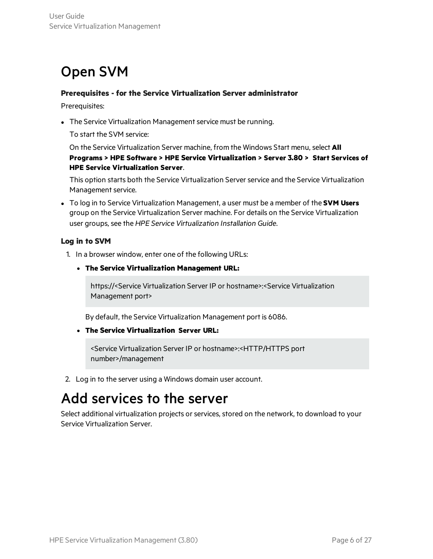## <span id="page-5-0"></span>Open SVM

### **Prerequisites - for the Service Virtualization Server administrator**

Prerequisites:

• The Service Virtualization Management service must be running.

To start the SVM service:

On the Service Virtualization Server machine, from the Windows Start menu, select **All Programs > HPE Software > HPE Service Virtualization > Server 3.80 > Start Services of HPE Service Virtualization Server**.

This option starts both the Service Virtualization Serverservice and the Service Virtualization Management service.

<sup>l</sup> To log in to Service Virtualization Management, a user must be a member of the **SVM Users** group on the Service Virtualization Server machine. For details on the Service Virtualization user groups, see the *HPE Service Virtualization Installation Guide*.

### **Log in to SVM**

- 1. In a browser window, enter one of the following URLs:
	- <sup>l</sup> **The Service Virtualization Management URL:**

https://<Service Virtualization Server IP or hostname>:<Service Virtualization Management port>

By default, the Service Virtualization Management port is 6086.

<sup>l</sup> **The Service Virtualization Server URL:**

<Service Virtualization Server IP or hostname>:<HTTP/HTTPS port number>/management

<span id="page-5-1"></span>2. Log in to the server using a Windows domain user account.

## Add services to the server

Select additional virtualization projects or services, stored on the network, to download to your Service Virtualization Server.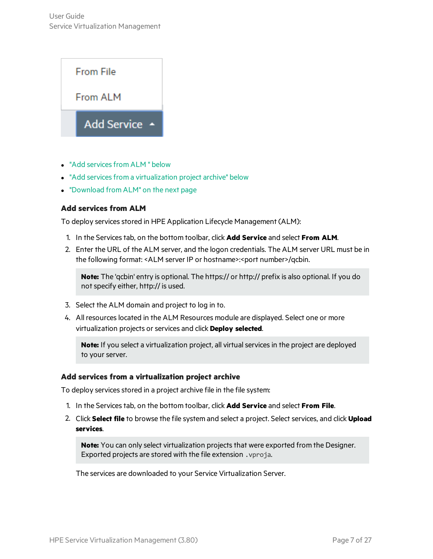

- "Add services from ALM " below
- "Add services from a virtualization project archive" below
- <span id="page-6-0"></span>• ["Download](#page-7-1) from ALM" on the next page

### **Add services from ALM**

To deploy services stored in HPE Application Lifecycle Management (ALM):

- 1. In the Servicestab, on the bottom toolbar, click **Add Service** and select **From ALM**.
- 2. Enter the URL of the ALM server, and the logon credentials. The ALM server URL must be in the following format: <ALM server IP or hostname>:<port number>/qcbin.

**Note:** The 'qcbin' entry is optional. The https:// or http:// prefix is also optional. If you do not specify either, http:// is used.

- 3. Select the ALM domain and project to log in to.
- 4. All resourceslocated in the ALM Resources module are displayed. Select one or more virtualization projects orservices and click **Deploy selected**.

Note: If you select a virtualization project, all virtual services in the project are deployed to your server.

### <span id="page-6-1"></span>**Add services from a virtualization project archive**

To deploy services stored in a project archive file in the file system:

- 1. In the Servicestab, on the bottom toolbar, click **Add Service** and select **From File**.
- 2. Click **Select file** to browse the file system and select a project. Select services, and click **Upload services**.

**Note:** You can only select virtualization projects that were exported from the Designer. Exported projects are stored with the file extension .vproja.

The services are downloaded to your Service Virtualization Server.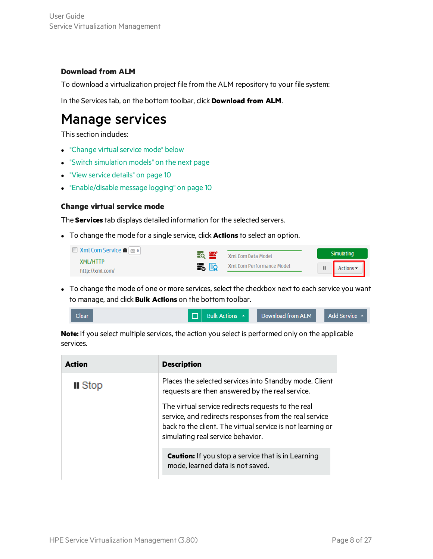### <span id="page-7-1"></span>**Download from ALM**

To download a virtualization project file from the ALM repository to your file system:

<span id="page-7-0"></span>In the Servicestab, on the bottom toolbar, click **Download from ALM**.

### Manage services

This section includes:

- "Change virtual service mode" below
- **.** "Switch [simulation](#page-8-0) models" on the next page
- **.** "View service [details"](#page-9-0) on page 10
- <span id="page-7-2"></span>**.** ["Enable/disable](#page-9-1) message logging" on page 10

### **Change virtual service mode**

The **Services** tab displays detailed information for the selected servers.

• To change the mode for a single service, click **Actions** to select an option.

| $\Box$ Xml Com Service $\blacksquare$ | $\overline{50}$ $\overline{24}$ | Xml Com Data Model        | <b>Simulating</b> |
|---------------------------------------|---------------------------------|---------------------------|-------------------|
| <b>XML/HTTP</b>                       | EG ER                           | Xml Com Performance Model |                   |
| http://xml.com/                       |                                 |                           | Actions           |

• To change the mode of one or more services, select the checkbox next to each service you want to manage, and click **Bulk Actions** on the bottom toolbar.

| <b>D</b> Bulk Actions A<br><b>Clear</b> | Download from ALM | Add Service $\rightarrow$ |
|-----------------------------------------|-------------------|---------------------------|
|-----------------------------------------|-------------------|---------------------------|

**Note:** If you select multiple services, the action you select is performed only on the applicable services.

| Action         | <b>Description</b>                                                                                                                                                                                              |
|----------------|-----------------------------------------------------------------------------------------------------------------------------------------------------------------------------------------------------------------|
| <b>II</b> Stop | Places the selected services into Standby mode. Client<br>requests are then answered by the real service.                                                                                                       |
|                | The virtual service redirects requests to the real<br>service, and redirects responses from the real service<br>back to the client. The virtual service is not learning or<br>simulating real service behavior. |
|                | <b>Caution:</b> If you stop a service that is in Learning<br>mode, learned data is not saved.                                                                                                                   |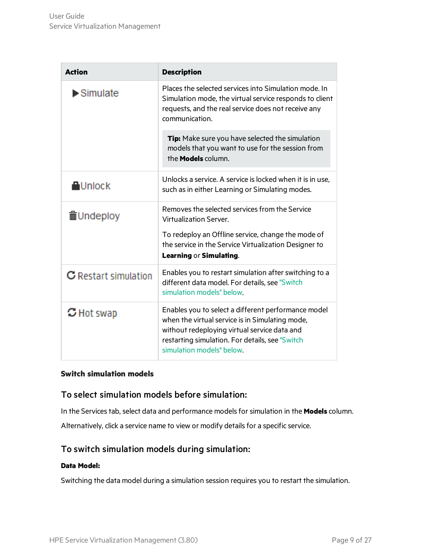| <b>Action</b>                  | <b>Description</b>                                                                                                                                                                                                                     |
|--------------------------------|----------------------------------------------------------------------------------------------------------------------------------------------------------------------------------------------------------------------------------------|
| $\blacktriangleright$ Simulate | Places the selected services into Simulation mode. In<br>Simulation mode, the virtual service responds to client<br>requests, and the real service does not receive any<br>communication.                                              |
|                                | Tip: Make sure you have selected the simulation<br>models that you want to use for the session from<br>the <b>Models</b> column.                                                                                                       |
| <b>A</b> Unlock                | Unlocks a service. A service is locked when it is in use.<br>such as in either Learning or Simulating modes.                                                                                                                           |
| 面Undeploy                      | Removes the selected services from the Service<br>Virtualization Server.                                                                                                                                                               |
|                                | To redeploy an Offline service, change the mode of<br>the service in the Service Virtualization Designer to<br><b>Learning or Simulating.</b>                                                                                          |
| <b>C</b> Restart simulation    | Enables you to restart simulation after switching to a<br>different data model. For details, see "Switch<br>simulation models" below.                                                                                                  |
| $\mathbb C$ Hot swap           | Enables you to select a different performance model<br>when the virtual service is in Simulating mode,<br>without redeploying virtual service data and<br>restarting simulation. For details, see "Switch<br>simulation models" below. |

### <span id="page-8-0"></span>**Switch simulation models**

### To select simulation models before simulation:

In the Services tab, select data and performance models for simulation in the **Models** column. Alternatively, click a service name to view or modify details for a specific service.

### To switch simulation models during simulation:

### **Data Model:**

Switching the data model during a simulation session requires you to restart the simulation.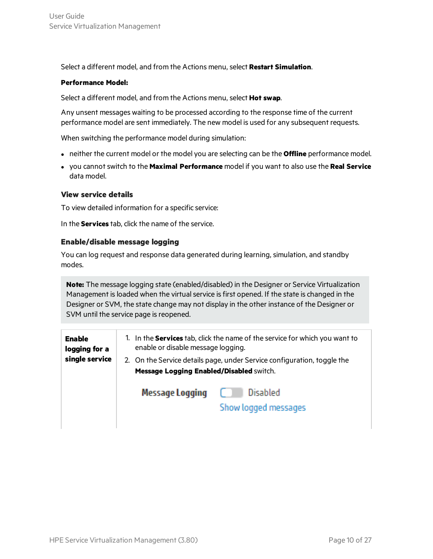Select a different model, and from the Actions menu, select **Restart Simulation**.

### **Performance Model:**

Select a different model, and from the Actions menu, select **Hot swap**.

Any unsent messages waiting to be processed according to the response time of the current performance model are sent immediately. The new model is used for any subsequent requests.

When switching the performance model during simulation:

- **•** neither the current model or the model you are selecting can be the **Offline** performance model.
- **.** you cannot switch to the Maximal Performance model if you want to also use the Real Service data model.

### <span id="page-9-0"></span>**View service details**

To view detailed information for a specific service:

<span id="page-9-1"></span>In the **Services** tab, click the name of the service.

### **Enable/disable message logging**

You can log request and response data generated during learning, simulation, and standby modes.

**Note:** The message logging state (enabled/disabled) in the Designer or Service Virtualization Management is loaded when the virtual service is first opened. If the state is changed in the Designer or SVM, the state change may not display in the other instance of the Designer or SVM until the service page is reopened.

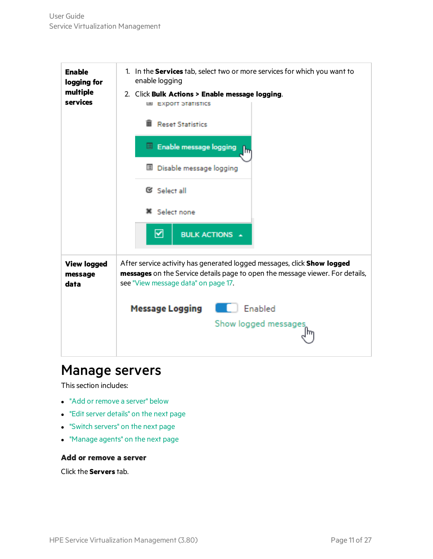

### <span id="page-10-0"></span>Manage servers

This section includes:

- "Add or [remove](#page-10-1) a server" below
- "Edit server details" on the next page
- "Switch [servers"](#page-11-1) on the next page
- <span id="page-10-1"></span>• ["Manage](#page-11-2) agents" on the next page

### **Add or remove a server**

Click the **Servers** tab.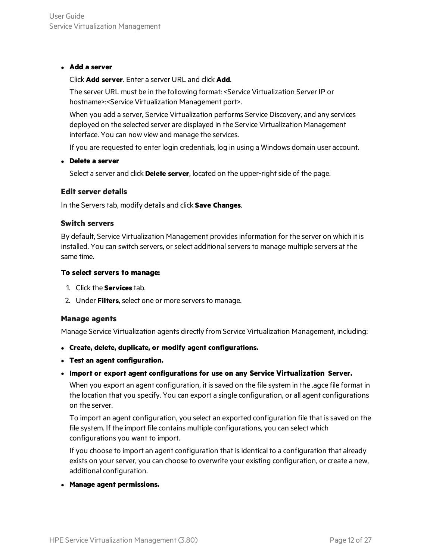### <sup>l</sup> **Add a server**

### Click **Add server**. Enter a server URL and click **Add**.

The server URL must be in the following format: <Service Virtualization Server IP or hostname>:<Service Virtualization Management port>.

When you add a server, Service Virtualization performs Service Discovery, and any services deployed on the selected server are displayed in the Service Virtualization Management interface. You can now view and manage the services.

If you are requested to enter login credentials, log in using a Windows domain user account.

### <sup>l</sup> **Delete a server**

Select a server and click **Delete server**, located on the upper-right side of the page.

### <span id="page-11-0"></span>**Edit server details**

<span id="page-11-1"></span>In the Serverstab, modify details and click **Save Changes**.

### **Switch servers**

By default, Service Virtualization Management providesinformation for the server on which it is installed. You can switch servers, or select additional servers to manage multiple servers at the same time.

### **To select servers to manage:**

- 1. Click the **Services** tab.
- <span id="page-11-2"></span>2. Under Filters, select one or more servers to manage.

### **Manage agents**

Manage Service Virtualization agents directly from Service Virtualization Management, including:

- <sup>l</sup> **Create, delete, duplicate, or modify agent configurations.**
- <sup>l</sup> **Test an agent configuration.**
- <sup>l</sup> **Import or export agent configurations for use on any Service Virtualization Server.**

When you export an agent configuration, it is saved on the file system in the .agce file format in the location that you specify. You can export a single configuration, or all agent configurations on the server.

To import an agent configuration, you select an exported configuration file that issaved on the file system. If the import file contains multiple configurations, you can select which configurations you want to import.

If you choose to import an agent configuration that isidentical to a configuration that already exists on your server, you can choose to overwrite your existing configuration, or create a new, additional configuration.

<sup>l</sup> **Manage agent permissions.**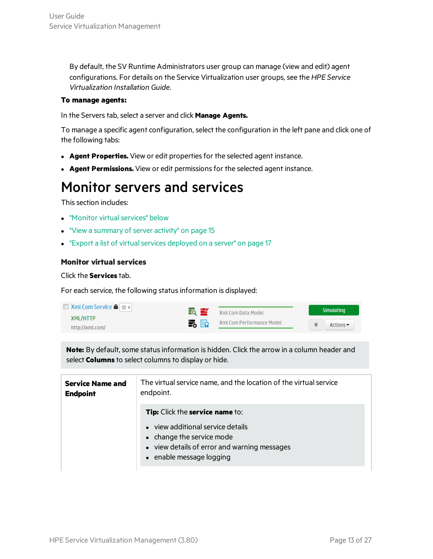By default, the SV Runtime Administrators user group can manage (view and edit) agent configurations. For details on the Service Virtualization user groups, see the *HPE Service Virtualization Installation Guide*.

### **To manage agents:**

In the Servers tab, select a server and click **Manage Agents.** 

To manage a specific agent configuration, select the configuration in the left pane and click one of the following tabs:

- **Agent Properties.** View or edit properties for the selected agent instance.
- <span id="page-12-0"></span>**Agent Permissions.** View or edit permissions for the selected agent instance.

### Monitor servers and services

This section includes:

- **.** "Monitor virtual services" below
- **.** "View a [summary](#page-14-0) of server activity" on page 15
- <span id="page-12-1"></span>• "Export a list of virtual services deployed on a server" on page 17

### **Monitor virtual services**

Click the **Services** tab.

For each service, the following status information is displayed:

| $\Box$ Xml Com Service $\blacksquare$ $\blacksquare$ o | EQ ES | Xml Com Data Model        |   | <b>Simulating</b>            |
|--------------------------------------------------------|-------|---------------------------|---|------------------------------|
| XML/HTTP                                               |       | Xml Com Performance Model |   |                              |
| http://xml.com/                                        | ■ 【   |                           | ш | Actions $\blacktriangledown$ |

**Note:** By default, some status information is hidden. Click the arrow in a column header and select **Columns** to select columns to display or hide.

| <b>Service Name and</b><br><b>Endpoint</b> | The virtual service name, and the location of the virtual service<br>endpoint.                                                             |
|--------------------------------------------|--------------------------------------------------------------------------------------------------------------------------------------------|
|                                            | <b>Tip:</b> Click the service name to:                                                                                                     |
|                                            | • view additional service details<br>• change the service mode<br>• view details of error and warning messages<br>• enable message logging |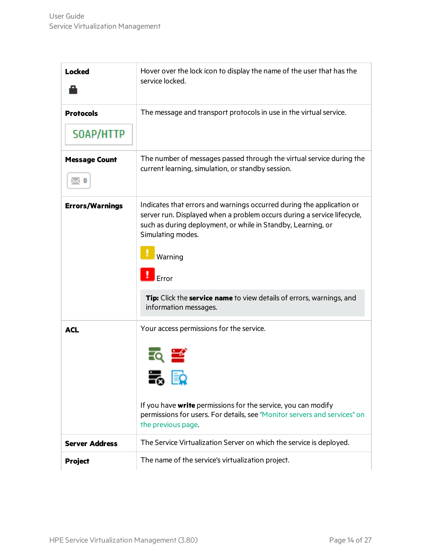| <b>Locked</b>                 | Hover over the lock icon to display the name of the user that has the<br>service locked.                                                                                                                                                                                                                                                                              |
|-------------------------------|-----------------------------------------------------------------------------------------------------------------------------------------------------------------------------------------------------------------------------------------------------------------------------------------------------------------------------------------------------------------------|
| <b>Protocols</b><br>SOAP/HTTP | The message and transport protocols in use in the virtual service.                                                                                                                                                                                                                                                                                                    |
| <b>Message Count</b>          | The number of messages passed through the virtual service during the<br>current learning, simulation, or standby session.                                                                                                                                                                                                                                             |
| <b>Errors/Warnings</b>        | Indicates that errors and warnings occurred during the application or<br>server run. Displayed when a problem occurs during a service lifecycle,<br>such as during deployment, or while in Standby, Learning, or<br>Simulating modes.<br>Warning<br>$\mathsf{Error}$<br>Tip: Click the service name to view details of errors, warnings, and<br>information messages. |
| <b>ACL</b>                    | Your access permissions for the service.<br>א⊏ שי<br>If you have <b>write</b> permissions for the service, you can modify<br>permissions for users. For details, see "Monitor servers and services" on<br>the previous page.                                                                                                                                          |
| <b>Server Address</b>         | The Service Virtualization Server on which the service is deployed.                                                                                                                                                                                                                                                                                                   |
| <b>Project</b>                | The name of the service's virtualization project.                                                                                                                                                                                                                                                                                                                     |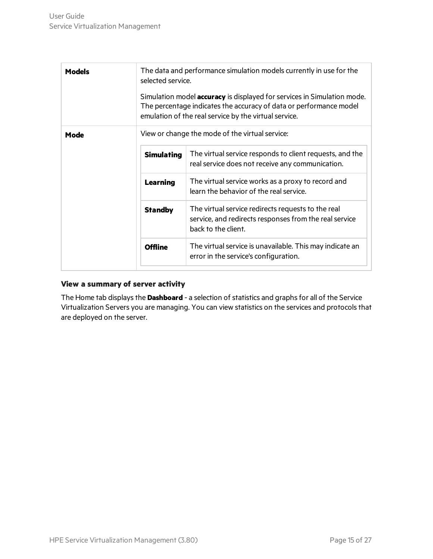| Models | The data and performance simulation models currently in use for the<br>selected service.<br>Simulation model <b>accuracy</b> is displayed for services in Simulation mode.<br>The percentage indicates the accuracy of data or performance model<br>emulation of the real service by the virtual service. |                                                                                                                                     |  |
|--------|-----------------------------------------------------------------------------------------------------------------------------------------------------------------------------------------------------------------------------------------------------------------------------------------------------------|-------------------------------------------------------------------------------------------------------------------------------------|--|
| Mode   | View or change the mode of the virtual service:                                                                                                                                                                                                                                                           |                                                                                                                                     |  |
|        | <b>Simulating</b>                                                                                                                                                                                                                                                                                         | The virtual service responds to client requests, and the<br>real service does not receive any communication.                        |  |
|        | <b>Learning</b>                                                                                                                                                                                                                                                                                           | The virtual service works as a proxy to record and<br>learn the behavior of the real service.                                       |  |
|        | <b>Standby</b>                                                                                                                                                                                                                                                                                            | The virtual service redirects requests to the real<br>service, and redirects responses from the real service<br>back to the client. |  |
|        | <b>Offline</b>                                                                                                                                                                                                                                                                                            | The virtual service is unavailable. This may indicate an<br>error in the service's configuration.                                   |  |

### <span id="page-14-0"></span>**View a summary of server activity**

The Home tab displays the **Dashboard** - a selection of statistics and graphs for all of the Service Virtualization Servers you are managing. You can view statistics on the services and protocolsthat are deployed on the server.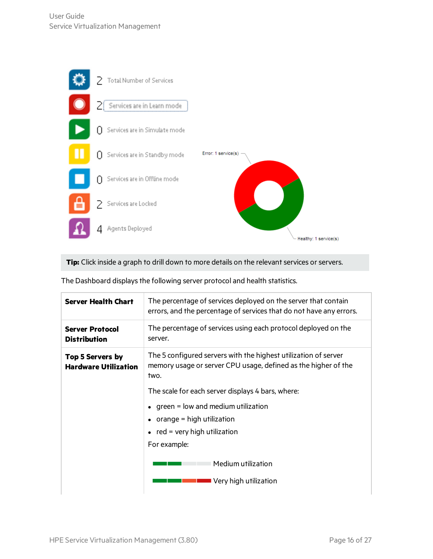

Tip: Click inside a graph to drill down to more details on the relevant services or servers.

| Server Health Chart                                    | The percentage of services deployed on the server that contain<br>errors, and the percentage of services that do not have any errors.     |
|--------------------------------------------------------|-------------------------------------------------------------------------------------------------------------------------------------------|
| <b>Server Protocol</b><br><b>Distribution</b>          | The percentage of services using each protocol deployed on the<br>server.                                                                 |
| <b>Top 5 Servers by</b><br><b>Hardware Utilization</b> | The 5 configured servers with the highest utilization of server<br>memory usage or server CPU usage, defined as the higher of the<br>two. |
|                                                        | The scale for each server displays 4 bars, where:                                                                                         |
|                                                        | $\bullet$ green = low and medium utilization                                                                                              |
|                                                        | $\bullet$ orange = high utilization                                                                                                       |
|                                                        | $\bullet$ red = very high utilization                                                                                                     |
|                                                        | For example:                                                                                                                              |
|                                                        | Medium utilization                                                                                                                        |
|                                                        | Very high utilization                                                                                                                     |

The Dashboard displays the following server protocol and health statistics.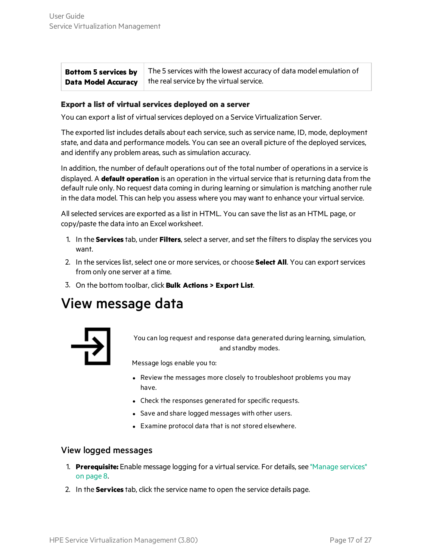**Bottom 5 services by Data Model Accuracy** The 5 services with the lowest accuracy of data model emulation of the real service by the virtual service.

### <span id="page-16-1"></span>**Export a list of virtual services deployed on a server**

You can export a list of virtual services deployed on a Service Virtualization Server.

The exported list includes details about each service, such as service name, ID, mode, deployment state, and data and performance models. You can see an overall picture of the deployed services, and identify any problem areas, such as simulation accuracy.

In addition, the number of default operations out of the total number of operationsin a service is displayed. A **default operation** is an operation in the virtualservice that isreturning data from the default rule only. No request data coming in during learning orsimulation is matching another rule in the data model. This can help you assess where you may want to enhance your virtual service.

Allselected services are exported as a list in HTML. You can save the list as an HTML page, or copy/paste the data into an Excel worksheet.

- 1. In the **Services** tab, under **Filters**, select a server, and set the filtersto display the services you want.
- 2. In the services list, select one or more services, or choose **Select All**. You can export services from only one server at a time.
- <span id="page-16-0"></span>3. On the bottom toolbar, click **Bulk Actions > Export List**.

## View message data



You can log request and response data generated during learning, simulation, and standby modes.

Message logs enable you to:

- Review the messages more closely to troubleshoot problems you may have.
- Check the responses generated for specific requests.
- Save and share logged messages with other users.
- Examine protocol data that is not stored elsewhere.

### View logged messages

- 1. **Prerequisite:** Enable message logging for a virtualservice. For details, see ["Manage](#page-7-0) services" on [page](#page-7-0) 8.
- 2. In the **Services** tab, click the service name to open the service details page.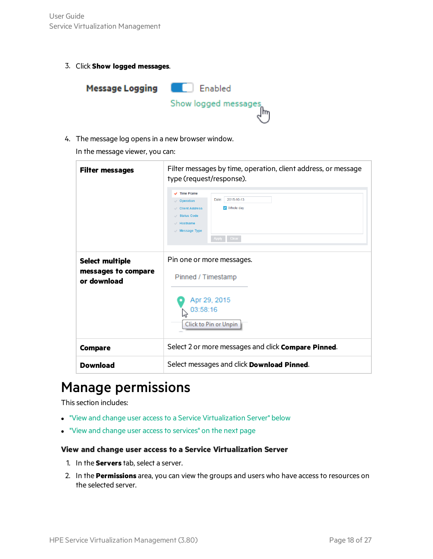3. Click **Show logged messages**.



4. The message log opens in a new browser window.

In the message viewer, you can:

| <b>Filter messages</b>                                       | Filter messages by time, operation, client address, or message<br>type (request/response).<br>$\sqrt{}$ Time Frame<br>2015-10-13<br>Date:<br>Operation<br>$\triangledown$ Whole day<br>Client Address<br><b>Status Code</b><br>$\mathcal{A}$ Hostname<br>$\vee$ Message Type<br>Apply Clear |  |
|--------------------------------------------------------------|---------------------------------------------------------------------------------------------------------------------------------------------------------------------------------------------------------------------------------------------------------------------------------------------|--|
| <b>Select multiple</b><br>messages to compare<br>or download | Pin one or more messages.<br>Pinned / Timestamp<br>Apr 29, 2015<br>03:58:16<br>Click to Pin or Unpin                                                                                                                                                                                        |  |
| <b>Compare</b>                                               | Select 2 or more messages and click Compare Pinned.                                                                                                                                                                                                                                         |  |
| <b>Download</b>                                              | Select messages and click <b>Download Pinned</b> .                                                                                                                                                                                                                                          |  |

## <span id="page-17-0"></span>Manage permissions

This section includes:

- "View and change user access to a Service [Virtualization](#page-17-1) Server" below
- <span id="page-17-1"></span>• "View and change user access to services" on the next page

### **View and change user access to a Service Virtualization Server**

- 1. In the **Servers** tab, select a server.
- 2. In the **Permissions** area, you can view the groups and users who have accessto resources on the selected server.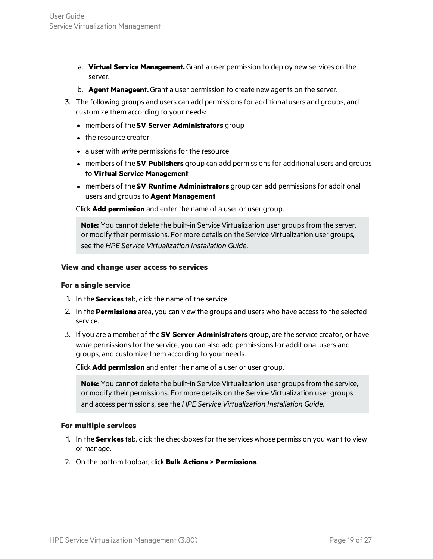- a. **Virtual Service Management.** Grant a user permission to deploy new services on the server.
- b. **Agent Manageent.** Grant a user permission to create new agents on the server.
- 3. The following groups and users can add permissionsfor additional users and groups, and customize them according to your needs:
	- <sup>l</sup> members of the **SV Server Administrators** group
	- $\bullet$  the resource creator
	- a user with *write* permissions for the resource
	- **members of the SV Publishers** group can add permissions for additional users and groups to **Virtual Service Management**
	- **members of the SV Runtime Administrators** group can add permissions for additional users and groups to **Agent Management**

Click **Add permission** and enter the name of a user or user group.

**Note:** You cannot delete the built-in Service Virtualization user groups from the server, or modify their permissions. For more details on the Service Virtualization user groups, see the *HPE Service Virtualization Installation Guide*.

#### <span id="page-18-0"></span>**View and change user access to services**

#### **For a single service**

- 1. In the **Services** tab, click the name of the service.
- 2. In the **Permissions** area, you can view the groups and users who have accessto the selected service.
- 3. If you are a member of the **SV Server Administrators** group, are the service creator, or have write permissions for the service, you can also add permissions for additional users and groups, and customize them according to your needs.

Click **Add permission** and enter the name of a user or user group.

**Note:** You cannot delete the built-in Service Virtualization user groups from the service, or modify their permissions. For more details on the Service Virtualization user groups and access permissions, see the *HPE Service Virtualization Installation Guide*.

### **For multiple services**

- 1. In the **Services** tab, click the checkboxesfor the services whose permission you want to view or manage.
- 2. On the bottom toolbar, click **Bulk Actions > Permissions**.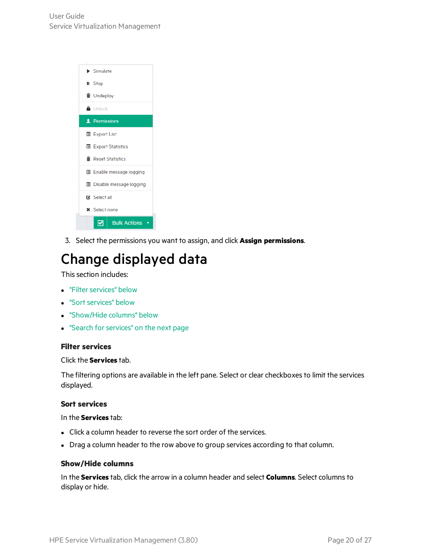

<span id="page-19-0"></span>3. Select the permissions you want to assign, and click **Assign permissions**.

# Change displayed data

This section includes:

- **.** "Filter services" below
- "Sort services" below
- ["Show/Hide](#page-19-3) columns" below
- <span id="page-19-1"></span>**.** "Search for services" on the next page

### **Filter services**

### Click the **Services** tab.

The filtering options are available in the left pane. Select or clear checkboxes to limit the services displayed.

### <span id="page-19-2"></span>**Sort services**

In the **Services** tab:

- Click a column header to reverse the sort order of the services.
- <span id="page-19-3"></span>• Drag a column header to the row above to group services according to that column.

### **Show/Hide columns**

In the **Services** tab, click the arrow in a column header and select **Columns**. Select columnsto display or hide.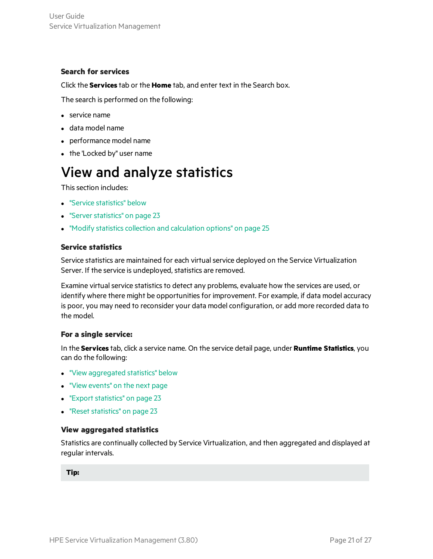### <span id="page-20-1"></span>**Search for services**

Click the **Services** tab or the **Home** tab, and enter text in the Search box.

The search is performed on the following:

- $\bullet$  service name
- $\bullet$  data model name
- performance model name
- <span id="page-20-0"></span> $\bullet$  the 'Locked by" user name

# View and analyze statistics

This section includes:

- **.** "Service [statistics"](#page-20-2) below
- **.** "Server statistics" on page 23
- <span id="page-20-2"></span> $\bullet$  "Modify statistics collection and [calculation](#page-24-0) options" on page 25

### **Service statistics**

Service statistics are maintained for each virtual service deployed on the Service Virtualization Server. If the service is undeployed, statistics are removed.

Examine virtual service statistics to detect any problems, evaluate how the services are used, or identify where there might be opportunities for improvement. For example, if data model accuracy is poor, you may need to reconsider your data model configuration, or add more recorded data to the model.

### **For a single service:**

In the **Services** tab, click a service name. On the service detail page, under **Runtime Statistics**, you can do the following:

- **.** "View [aggregated](#page-20-3) statistics" below
- **.** "View [events"](#page-21-0) on the next page
- "Export statistics" on page 23
- <span id="page-20-3"></span>• "Reset statistics" on page 23

### **View aggregated statistics**

Statistics are continually collected by Service Virtualization, and then aggregated and displayed at regular intervals.

**Tip:**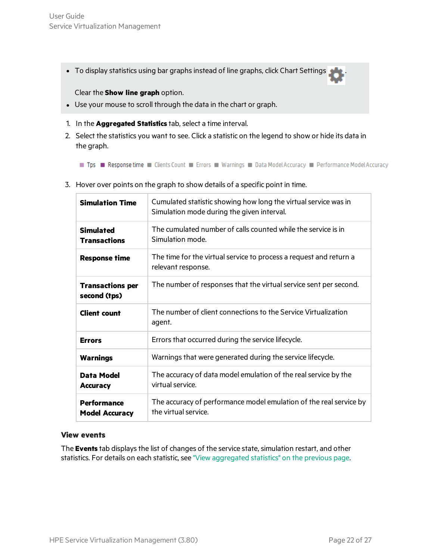• To display statistics using bar graphs instead of line graphs, click Chart Settings

Clear the **Show line graph** option.

- Use your mouse to scroll through the data in the chart or graph.
- 1. In the **Aggregated Statistics** tab, select a time interval.
- 2. Select the statistics you want to see. Click a statistic on the legend to show or hide its data in the graph.

Tps Response time Clients Count Enerors Murnings Data Model Accuracy De Performance Model Accuracy

| <b>Simulation Time</b>                      | Cumulated statistic showing how long the virtual service was in<br>Simulation mode during the given interval. |
|---------------------------------------------|---------------------------------------------------------------------------------------------------------------|
| <b>Simulated</b><br><b>Transactions</b>     | The cumulated number of calls counted while the service is in<br>Simulation mode.                             |
| <b>Response time</b>                        | The time for the virtual service to process a request and return a<br>relevant response.                      |
| <b>Transactions per</b><br>second (tps)     | The number of responses that the virtual service sent per second.                                             |
| <b>Client count</b>                         | The number of client connections to the Service Virtualization<br>agent.                                      |
| <b>Errors</b>                               | Errors that occurred during the service lifecycle.                                                            |
| <b>Warnings</b>                             | Warnings that were generated during the service lifecycle.                                                    |
| Data Model<br><b>Accuracy</b>               | The accuracy of data model emulation of the real service by the<br>virtual service.                           |
| <b>Performance</b><br><b>Model Accuracy</b> | The accuracy of performance model emulation of the real service by<br>the virtual service.                    |

3. Hover over points on the graph to show details of a specific point in time.

### <span id="page-21-0"></span>**View events**

The **Events** tab displays the list of changes of the service state, simulation restart, and other statistics. For details on each statistic, see "View [aggregated](#page-20-3) statistics" on the previous page.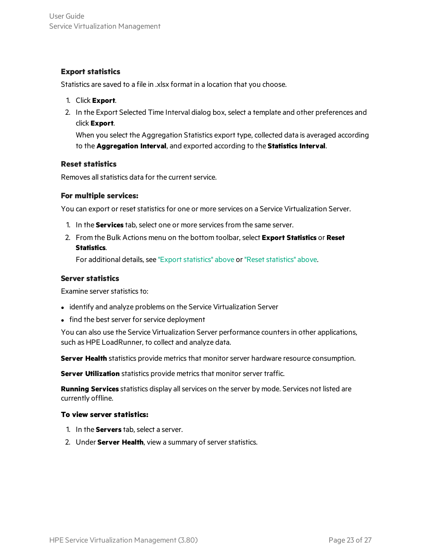### <span id="page-22-1"></span>**Export statistics**

Statistics are saved to a file in .xlsx format in a location that you choose.

- 1. Click **Export**.
- 2. In the Export Selected Time Interval dialog box, select a template and other preferences and click **Export**.

When you select the Aggregation Statistics export type, collected data is averaged according to the **Aggregation Interval**, and exported according to the **Statistics Interval**.

### <span id="page-22-2"></span>**Reset statistics**

Removes all statistics data for the current service.

### **For multiple services:**

You can export or reset statistics for one or more services on a Service Virtualization Server.

- 1. In the **Services** tab, select one or more servicesfrom the same server.
- 2. From the Bulk Actions menu on the bottom toolbar, select **Export Statistics** or **Reset Statistics**.

For additional details, see "Export statistics" above or "Reset statistics" above.

### <span id="page-22-0"></span>**Server statistics**

Examine server statistics to:

- identify and analyze problems on the Service Virtualization Server
- find the best server for service deployment

You can also use the Service Virtualization Server performance countersin other applications, such as HPE LoadRunner, to collect and analyze data.

**Server Health** statistics provide metrics that monitor server hardware resource consumption.

**Server Utilization** statistics provide metrics that monitor server traffic.

**Running Services** statistics display all services on the server by mode. Services not listed are currently offline.

### **To view server statistics:**

- 1. In the **Servers** tab, select a server.
- 2. Under **Server Health**, view a summary of server statistics.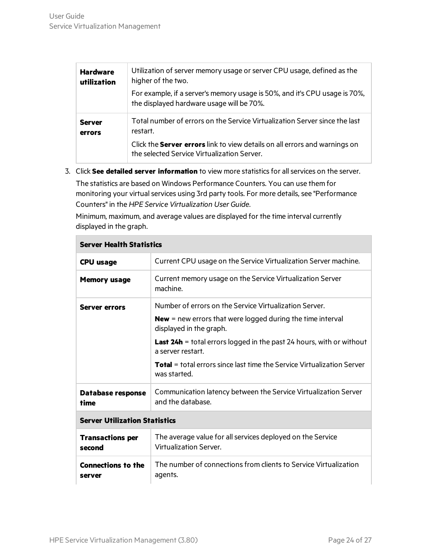| <b>Hardware</b><br>utilization | Utilization of server memory usage or server CPU usage, defined as the<br>higher of the two.<br>For example, if a server's memory usage is 50%, and it's CPU usage is 70%,<br>the displayed hardware usage will be 70%.    |
|--------------------------------|----------------------------------------------------------------------------------------------------------------------------------------------------------------------------------------------------------------------------|
| <b>Server</b><br>errors        | Total number of errors on the Service Virtualization Server since the last<br>restart.<br>Click the <b>Server errors</b> link to view details on all errors and warnings on<br>the selected Service Virtualization Server. |

3. Click **See detailed server information** to view more statisticsfor allservices on the server. The statistics are based on Windows Performance Counters. You can use them for monitoring your virtual services using 3rd party tools. For more details, see "Performance Counters" in the *HPE Service Virtualization User Guide*.

Minimum, maximum, and average values are displayed for the time interval currently displayed in the graph.

| Server Health Statistics             |                                                                                                                                                                                                                                                                                                                                                             |  |
|--------------------------------------|-------------------------------------------------------------------------------------------------------------------------------------------------------------------------------------------------------------------------------------------------------------------------------------------------------------------------------------------------------------|--|
| <b>CPU</b> usage                     | Current CPU usage on the Service Virtualization Server machine.                                                                                                                                                                                                                                                                                             |  |
| <b>Memory usage</b>                  | Current memory usage on the Service Virtualization Server<br>machine.                                                                                                                                                                                                                                                                                       |  |
| <b>Server errors</b>                 | Number of errors on the Service Virtualization Server.<br><b>New</b> = new errors that were logged during the time interval<br>displayed in the graph.<br><b>Last 24h</b> = total errors logged in the past 24 hours, with or without<br>a server restart.<br><b>Total</b> = total errors since last time the Service Virtualization Server<br>was started. |  |
| Database response<br>time            | Communication latency between the Service Virtualization Server<br>and the database.                                                                                                                                                                                                                                                                        |  |
| <b>Server Utilization Statistics</b> |                                                                                                                                                                                                                                                                                                                                                             |  |
| <b>Transactions per</b><br>second    | The average value for all services deployed on the Service<br>Virtualization Server.                                                                                                                                                                                                                                                                        |  |
| <b>Connections to the</b><br>server  | The number of connections from clients to Service Virtualization<br>agents.                                                                                                                                                                                                                                                                                 |  |

### **Server Health Statistics**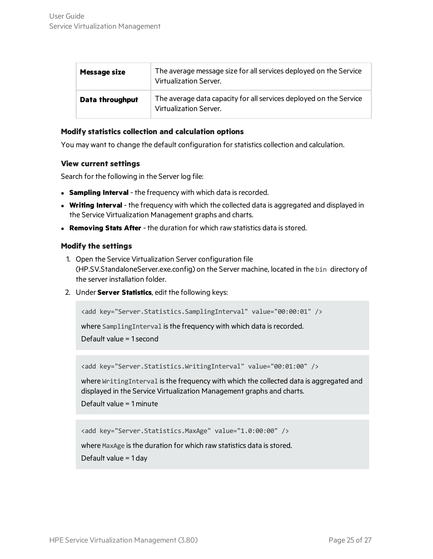| <b>Message size</b> | The average message size for all services deployed on the Service<br>Virtualization Server.  |
|---------------------|----------------------------------------------------------------------------------------------|
| Data throughput     | The average data capacity for all services deployed on the Service<br>Virtualization Server. |

### <span id="page-24-0"></span>**Modify statistics collection and calculation options**

You may want to change the default configuration forstatistics collection and calculation.

#### **View current settings**

Search for the following in the Server log file:

- **Sampling Interval** the frequency with which data is recorded.
- **Writing Interval** the frequency with which the collected data is aggregated and displayed in the Service Virtualization Management graphs and charts.
- <sup>l</sup> **Removing Stats After** the duration for which raw statistics data isstored.

#### **Modify the settings**

- 1. Open the Service Virtualization Server configuration file (HP.SV.StandaloneServer.exe.config) on the Server machine, located in the bin directory of the server installation folder.
- 2. Under **Server Statistics**, edit the following keys:

```
<add key="Server.Statistics.SamplingInterval" value="00:00:01" />
```
where SamplingInterval is the frequency with which data is recorded.

Default value = 1second

<add key="Server.Statistics.WritingInterval" value="00:01:00" />

where WritingInterval is the frequency with which the collected data is aggregated and displayed in the Service Virtualization Management graphs and charts.

Default value = 1 minute

<add key="Server.Statistics.MaxAge" value="1.0:00:00" />

where MaxAge is the duration for which raw statistics data is stored.

Default value = 1 day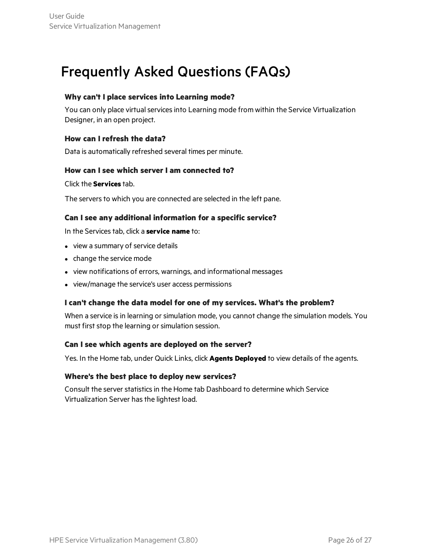## <span id="page-25-0"></span>Frequently Asked Questions (FAQs)

### **Why can't I place services into Learning mode?**

You can only place virtual services into Learning mode from within the Service Virtualization Designer, in an open project.

### **How can I refresh the data?**

Data is automatically refreshed several times per minute.

### **How can I see which server I am connected to?**

### Click the **Services** tab.

The servers to which you are connected are selected in the left pane.

### **Can I see any additional information for a specific service?**

In the Services tab, click a **service name** to:

- $\bullet$  view a summary of service details
- change the service mode
- view notifications of errors, warnings, and informational messages
- view/manage the service's user access permissions

### **I can't change the data model for one of my services. What's the problem?**

When a service is in learning or simulation mode, you cannot change the simulation models. You must first stop the learning or simulation session.

### **Can I see which agents are deployed on the server?**

Yes. In the Home tab, under Quick Links, click **Agents Deployed** to view details of the agents.

### **Where's the best place to deploy new services?**

Consult the server statistics in the Home tab Dashboard to determine which Service Virtualization Server has the lightest load.